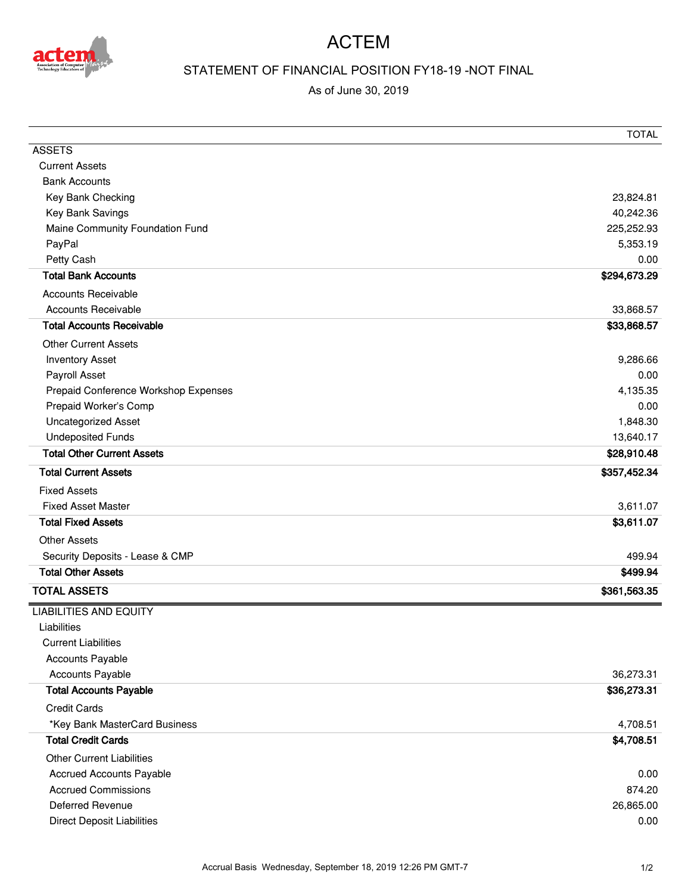

## ACTEM

## STATEMENT OF FINANCIAL POSITION FY18-19 -NOT FINAL

As of June 30, 2019

|                                      | <b>TOTAL</b> |
|--------------------------------------|--------------|
| <b>ASSETS</b>                        |              |
| <b>Current Assets</b>                |              |
| <b>Bank Accounts</b>                 |              |
| Key Bank Checking                    | 23,824.81    |
| Key Bank Savings                     | 40,242.36    |
| Maine Community Foundation Fund      | 225,252.93   |
| PayPal                               | 5,353.19     |
| Petty Cash                           | 0.00         |
| <b>Total Bank Accounts</b>           | \$294,673.29 |
| <b>Accounts Receivable</b>           |              |
| <b>Accounts Receivable</b>           | 33,868.57    |
| <b>Total Accounts Receivable</b>     | \$33,868.57  |
| <b>Other Current Assets</b>          |              |
| <b>Inventory Asset</b>               | 9,286.66     |
| Payroll Asset                        | 0.00         |
| Prepaid Conference Workshop Expenses | 4,135.35     |
| Prepaid Worker's Comp                | 0.00         |
| Uncategorized Asset                  | 1,848.30     |
| <b>Undeposited Funds</b>             | 13,640.17    |
| <b>Total Other Current Assets</b>    | \$28,910.48  |
| <b>Total Current Assets</b>          | \$357,452.34 |
| <b>Fixed Assets</b>                  |              |
| <b>Fixed Asset Master</b>            | 3,611.07     |
| <b>Total Fixed Assets</b>            | \$3,611.07   |
| <b>Other Assets</b>                  |              |
| Security Deposits - Lease & CMP      | 499.94       |
| <b>Total Other Assets</b>            | \$499.94     |
| <b>TOTAL ASSETS</b>                  | \$361,563.35 |
| <b>LIABILITIES AND EQUITY</b>        |              |
| Liabilities                          |              |
| <b>Current Liabilities</b>           |              |
| <b>Accounts Payable</b>              |              |
| Accounts Payable                     | 36,273.31    |
| <b>Total Accounts Payable</b>        | \$36,273.31  |
| <b>Credit Cards</b>                  |              |
| *Key Bank MasterCard Business        | 4,708.51     |
| <b>Total Credit Cards</b>            | \$4,708.51   |
| <b>Other Current Liabilities</b>     |              |
| <b>Accrued Accounts Payable</b>      | 0.00         |
| <b>Accrued Commissions</b>           | 874.20       |
| <b>Deferred Revenue</b>              | 26,865.00    |
| <b>Direct Deposit Liabilities</b>    | 0.00         |